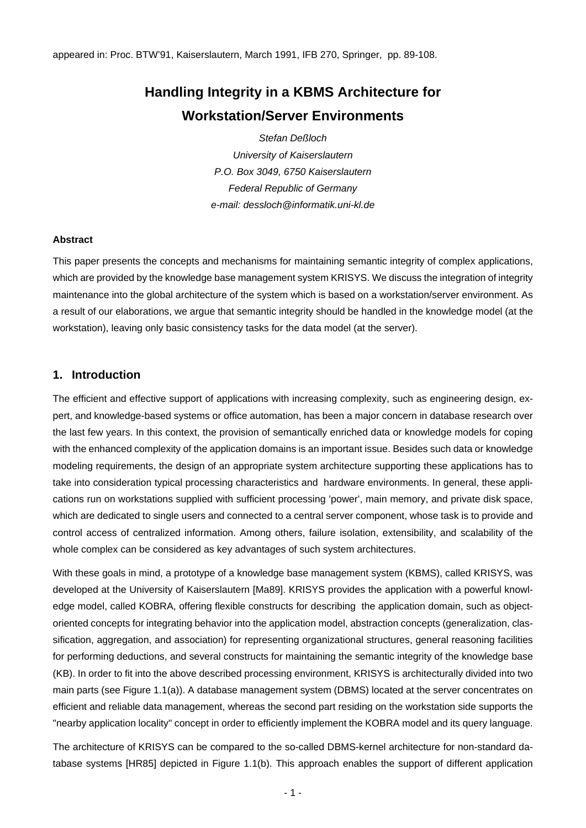# **Handling Integrity in a KBMS Architecture for Workstation/Server Environments**

Stefan Deßloch University of Kaiserslautern P.O. Box 3049, 6750 Kaiserslautern Federal Republic of Germany e-mail: dessloch@informatik.uni-kl.de

#### **Abstract**

This paper presents the concepts and mechanisms for maintaining semantic integrity of complex applications, which are provided by the knowledge base management system KRISYS. We discuss the integration of integrity maintenance into the global architecture of the system which is based on a workstation/server environment. As a result of our elaborations, we argue that semantic integrity should be handled in the knowledge model (at the workstation), leaving only basic consistency tasks for the data model (at the server).

### **1. Introduction**

The efficient and effective support of applications with increasing complexity, such as engineering design, expert, and knowledge-based systems or office automation, has been a major concern in database research over the last few years. In this context, the provision of semantically enriched data or knowledge models for coping with the enhanced complexity of the application domains is an important issue. Besides such data or knowledge modeling requirements, the design of an appropriate system architecture supporting these applications has to take into consideration typical processing characteristics and hardware environments. In general, these applications run on workstations supplied with sufficient processing 'power', main memory, and private disk space, which are dedicated to single users and connected to a central server component, whose task is to provide and control access of centralized information. Among others, failure isolation, extensibility, and scalability of the whole complex can be considered as key advantages of such system architectures.

With these goals in mind, a prototype of a knowledge base management system (KBMS), called KRISYS, was developed at the University of Kaiserslautern [Ma89]. KRISYS provides the application with a powerful knowledge model, called KOBRA, offering flexible constructs for describing the application domain, such as objectoriented concepts for integrating behavior into the application model, abstraction concepts (generalization, classification, aggregation, and association) for representing organizational structures, general reasoning facilities for performing deductions, and several constructs for maintaining the semantic integrity of the knowledge base (KB). In order to fit into the above described processing environment, KRISYS is architecturally divided into two main parts (see Figure 1.1(a)). A database management system (DBMS) located at the server concentrates on efficient and reliable data management, whereas the second part residing on the workstation side supports the "nearby application locality" concept in order to efficiently implement the KOBRA model and its query language.

The architecture of KRISYS can be compared to the so-called DBMS-kernel architecture for non-standard database systems [HR85] depicted in Figure 1.1(b). This approach enables the support of different application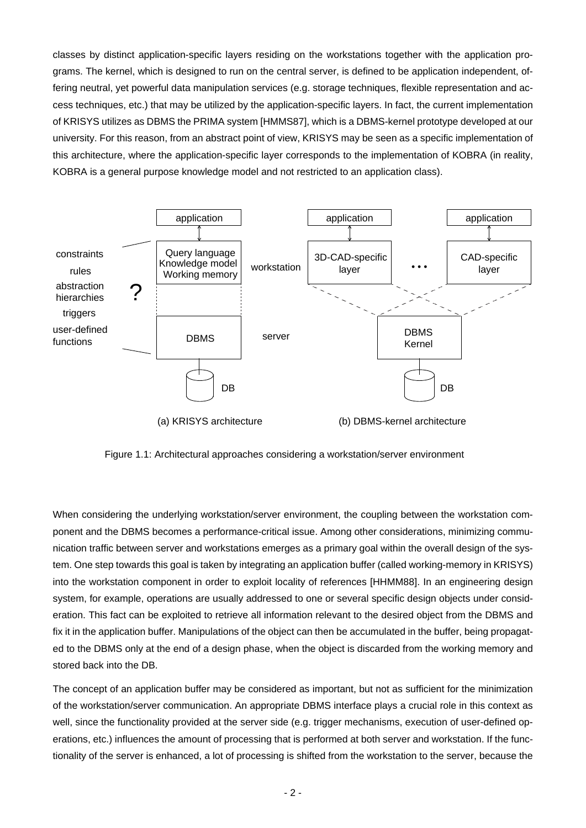classes by distinct application-specific layers residing on the workstations together with the application programs. The kernel, which is designed to run on the central server, is defined to be application independent, offering neutral, yet powerful data manipulation services (e.g. storage techniques, flexible representation and access techniques, etc.) that may be utilized by the application-specific layers. In fact, the current implementation of KRISYS utilizes as DBMS the PRIMA system [HMMS87], which is a DBMS-kernel prototype developed at our university. For this reason, from an abstract point of view, KRISYS may be seen as a specific implementation of this architecture, where the application-specific layer corresponds to the implementation of KOBRA (in reality, KOBRA is a general purpose knowledge model and not restricted to an application class).



Figure 1.1: Architectural approaches considering a workstation/server environment

When considering the underlying workstation/server environment, the coupling between the workstation component and the DBMS becomes a performance-critical issue. Among other considerations, minimizing communication traffic between server and workstations emerges as a primary goal within the overall design of the system. One step towards this goal is taken by integrating an application buffer (called working-memory in KRISYS) into the workstation component in order to exploit locality of references [HHMM88]. In an engineering design system, for example, operations are usually addressed to one or several specific design objects under consideration. This fact can be exploited to retrieve all information relevant to the desired object from the DBMS and fix it in the application buffer. Manipulations of the object can then be accumulated in the buffer, being propagated to the DBMS only at the end of a design phase, when the object is discarded from the working memory and stored back into the DB.

The concept of an application buffer may be considered as important, but not as sufficient for the minimization of the workstation/server communication. An appropriate DBMS interface plays a crucial role in this context as well, since the functionality provided at the server side (e.g. trigger mechanisms, execution of user-defined operations, etc.) influences the amount of processing that is performed at both server and workstation. If the functionality of the server is enhanced, a lot of processing is shifted from the workstation to the server, because the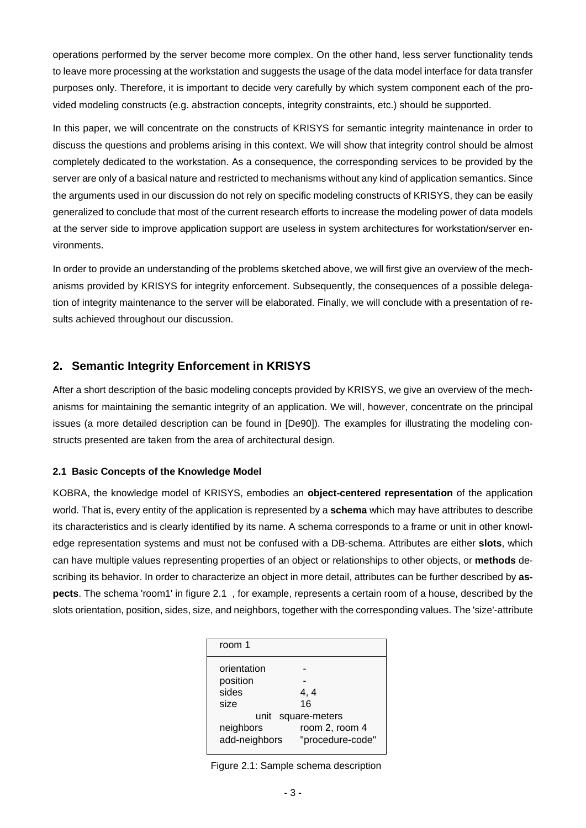operations performed by the server become more complex. On the other hand, less server functionality tends to leave more processing at the workstation and suggests the usage of the data model interface for data transfer purposes only. Therefore, it is important to decide very carefully by which system component each of the provided modeling constructs (e.g. abstraction concepts, integrity constraints, etc.) should be supported.

In this paper, we will concentrate on the constructs of KRISYS for semantic integrity maintenance in order to discuss the questions and problems arising in this context. We will show that integrity control should be almost completely dedicated to the workstation. As a consequence, the corresponding services to be provided by the server are only of a basical nature and restricted to mechanisms without any kind of application semantics. Since the arguments used in our discussion do not rely on specific modeling constructs of KRISYS, they can be easily generalized to conclude that most of the current research efforts to increase the modeling power of data models at the server side to improve application support are useless in system architectures for workstation/server environments.

In order to provide an understanding of the problems sketched above, we will first give an overview of the mechanisms provided by KRISYS for integrity enforcement. Subsequently, the consequences of a possible delegation of integrity maintenance to the server will be elaborated. Finally, we will conclude with a presentation of results achieved throughout our discussion.

# **2. Semantic Integrity Enforcement in KRISYS**

After a short description of the basic modeling concepts provided by KRISYS, we give an overview of the mechanisms for maintaining the semantic integrity of an application. We will, however, concentrate on the principal issues (a more detailed description can be found in [De90]). The examples for illustrating the modeling constructs presented are taken from the area of architectural design.

# **2.1 Basic Concepts of the Knowledge Model**

KOBRA, the knowledge model of KRISYS, embodies an **object-centered representation** of the application world. That is, every entity of the application is represented by a **schema** which may have attributes to describe its characteristics and is clearly identified by its name. A schema corresponds to a frame or unit in other knowledge representation systems and must not be confused with a DB-schema. Attributes are either **slots**, which can have multiple values representing properties of an object or relationships to other objects, or **methods** describing its behavior. In order to characterize an object in more detail, attributes can be further described by **aspects**. The schema 'room1' in figure 2.1 , for example, represents a certain room of a house, described by the slots orientation, position, sides, size, and neighbors, together with the corresponding values. The 'size'-attribute

| room 1        |                  |
|---------------|------------------|
| orientation   |                  |
| position      |                  |
| sides         | 4, 4             |
| size          | 16               |
| unit          | square-meters    |
| neighbors     | room 2, room 4   |
| add-neighbors | "procedure-code" |
|               |                  |

Figure 2.1: Sample schema description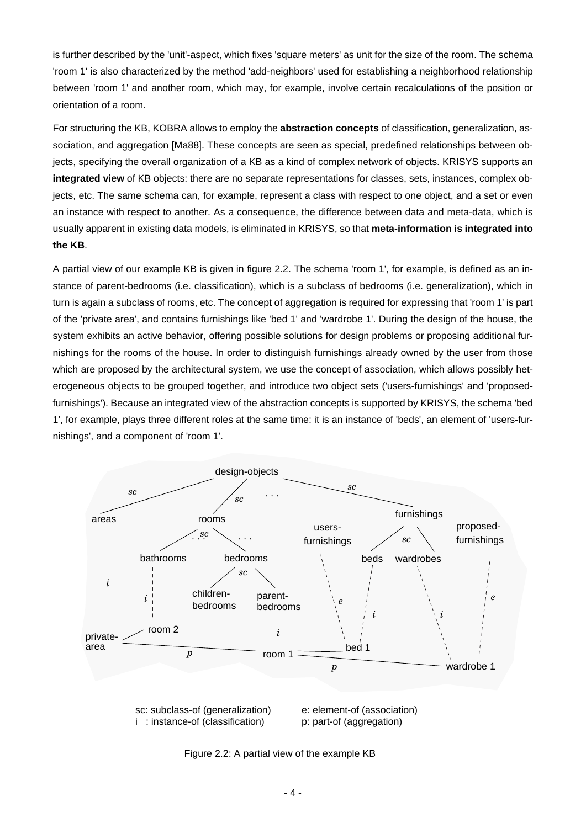is further described by the 'unit'-aspect, which fixes 'square meters' as unit for the size of the room. The schema 'room 1' is also characterized by the method 'add-neighbors' used for establishing a neighborhood relationship between 'room 1' and another room, which may, for example, involve certain recalculations of the position or orientation of a room.

For structuring the KB, KOBRA allows to employ the **abstraction concepts** of classification, generalization, association, and aggregation [Ma88]. These concepts are seen as special, predefined relationships between objects, specifying the overall organization of a KB as a kind of complex network of objects. KRISYS supports an **integrated view** of KB objects: there are no separate representations for classes, sets, instances, complex objects, etc. The same schema can, for example, represent a class with respect to one object, and a set or even an instance with respect to another. As a consequence, the difference between data and meta-data, which is usually apparent in existing data models, is eliminated in KRISYS, so that **meta-information is integrated into the KB**.

A partial view of our example KB is given in figure 2.2. The schema 'room 1', for example, is defined as an instance of parent-bedrooms (i.e. classification), which is a subclass of bedrooms (i.e. generalization), which in turn is again a subclass of rooms, etc. The concept of aggregation is required for expressing that 'room 1' is part of the 'private area', and contains furnishings like 'bed 1' and 'wardrobe 1'. During the design of the house, the system exhibits an active behavior, offering possible solutions for design problems or proposing additional furnishings for the rooms of the house. In order to distinguish furnishings already owned by the user from those which are proposed by the architectural system, we use the concept of association, which allows possibly heterogeneous objects to be grouped together, and introduce two object sets ('users-furnishings' and 'proposedfurnishings'). Because an integrated view of the abstraction concepts is supported by KRISYS, the schema 'bed 1', for example, plays three different roles at the same time: it is an instance of 'beds', an element of 'users-furnishings', and a component of 'room 1'.



Figure 2.2: A partial view of the example KB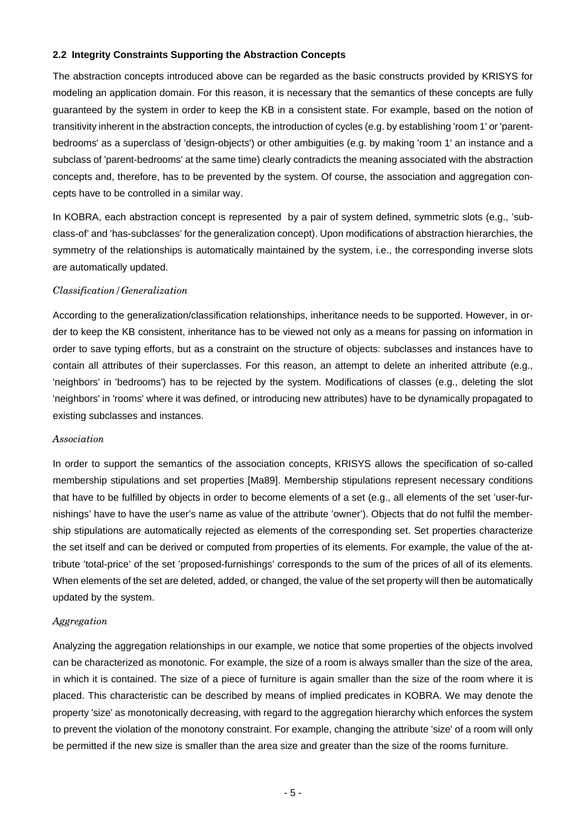#### **2.2 Integrity Constraints Supporting the Abstraction Concepts**

The abstraction concepts introduced above can be regarded as the basic constructs provided by KRISYS for modeling an application domain. For this reason, it is necessary that the semantics of these concepts are fully guaranteed by the system in order to keep the KB in a consistent state. For example, based on the notion of transitivity inherent in the abstraction concepts, the introduction of cycles (e.g. by establishing 'room 1' or 'parentbedrooms' as a superclass of 'design-objects') or other ambiguities (e.g. by making 'room 1' an instance and a subclass of 'parent-bedrooms' at the same time) clearly contradicts the meaning associated with the abstraction concepts and, therefore, has to be prevented by the system. Of course, the association and aggregation concepts have to be controlled in a similar way.

In KOBRA, each abstraction concept is represented by a pair of system defined, symmetric slots (e.g., 'subclass-of' and 'has-subclasses' for the generalization concept). Upon modifications of abstraction hierarchies, the symmetry of the relationships is automatically maintained by the system, i.e., the corresponding inverse slots are automatically updated.

#### *Classification/Generalization*

According to the generalization/classification relationships, inheritance needs to be supported. However, in order to keep the KB consistent, inheritance has to be viewed not only as a means for passing on information in order to save typing efforts, but as a constraint on the structure of objects: subclasses and instances have to contain all attributes of their superclasses. For this reason, an attempt to delete an inherited attribute (e.g., 'neighbors' in 'bedrooms') has to be rejected by the system. Modifications of classes (e.g., deleting the slot 'neighbors' in 'rooms' where it was defined, or introducing new attributes) have to be dynamically propagated to existing subclasses and instances.

#### *Association*

In order to support the semantics of the association concepts, KRISYS allows the specification of so-called membership stipulations and set properties [Ma89]. Membership stipulations represent necessary conditions that have to be fulfilled by objects in order to become elements of a set (e.g., all elements of the set 'user-furnishings' have to have the user's name as value of the attribute 'owner'). Objects that do not fulfil the membership stipulations are automatically rejected as elements of the corresponding set. Set properties characterize the set itself and can be derived or computed from properties of its elements. For example, the value of the attribute 'total-price' of the set 'proposed-furnishings' corresponds to the sum of the prices of all of its elements. When elements of the set are deleted, added, or changed, the value of the set property will then be automatically updated by the system.

#### *Aggregation*

Analyzing the aggregation relationships in our example, we notice that some properties of the objects involved can be characterized as monotonic. For example, the size of a room is always smaller than the size of the area, in which it is contained. The size of a piece of furniture is again smaller than the size of the room where it is placed. This characteristic can be described by means of implied predicates in KOBRA. We may denote the property 'size' as monotonically decreasing, with regard to the aggregation hierarchy which enforces the system to prevent the violation of the monotony constraint. For example, changing the attribute 'size' of a room will only be permitted if the new size is smaller than the area size and greater than the size of the rooms furniture.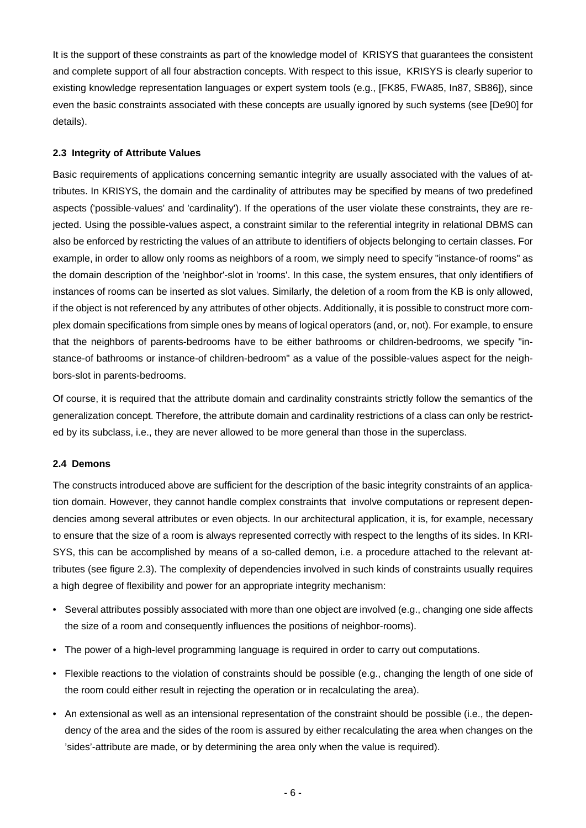It is the support of these constraints as part of the knowledge model of KRISYS that guarantees the consistent and complete support of all four abstraction concepts. With respect to this issue, KRISYS is clearly superior to existing knowledge representation languages or expert system tools (e.g., [FK85, FWA85, In87, SB86]), since even the basic constraints associated with these concepts are usually ignored by such systems (see [De90] for details).

#### **2.3 Integrity of Attribute Values**

Basic requirements of applications concerning semantic integrity are usually associated with the values of attributes. In KRISYS, the domain and the cardinality of attributes may be specified by means of two predefined aspects ('possible-values' and 'cardinality'). If the operations of the user violate these constraints, they are rejected. Using the possible-values aspect, a constraint similar to the referential integrity in relational DBMS can also be enforced by restricting the values of an attribute to identifiers of objects belonging to certain classes. For example, in order to allow only rooms as neighbors of a room, we simply need to specify "instance-of rooms" as the domain description of the 'neighbor'-slot in 'rooms'. In this case, the system ensures, that only identifiers of instances of rooms can be inserted as slot values. Similarly, the deletion of a room from the KB is only allowed, if the object is not referenced by any attributes of other objects. Additionally, it is possible to construct more complex domain specifications from simple ones by means of logical operators (and, or, not). For example, to ensure that the neighbors of parents-bedrooms have to be either bathrooms or children-bedrooms, we specify "instance-of bathrooms or instance-of children-bedroom" as a value of the possible-values aspect for the neighbors-slot in parents-bedrooms.

Of course, it is required that the attribute domain and cardinality constraints strictly follow the semantics of the generalization concept. Therefore, the attribute domain and cardinality restrictions of a class can only be restricted by its subclass, i.e., they are never allowed to be more general than those in the superclass.

#### **2.4 Demons**

The constructs introduced above are sufficient for the description of the basic integrity constraints of an application domain. However, they cannot handle complex constraints that involve computations or represent dependencies among several attributes or even objects. In our architectural application, it is, for example, necessary to ensure that the size of a room is always represented correctly with respect to the lengths of its sides. In KRI-SYS, this can be accomplished by means of a so-called demon, i.e. a procedure attached to the relevant attributes (see figure 2.3). The complexity of dependencies involved in such kinds of constraints usually requires a high degree of flexibility and power for an appropriate integrity mechanism:

- Several attributes possibly associated with more than one object are involved (e.g., changing one side affects the size of a room and consequently influences the positions of neighbor-rooms).
- The power of a high-level programming language is required in order to carry out computations.
- Flexible reactions to the violation of constraints should be possible (e.g., changing the length of one side of the room could either result in rejecting the operation or in recalculating the area).
- An extensional as well as an intensional representation of the constraint should be possible (i.e., the dependency of the area and the sides of the room is assured by either recalculating the area when changes on the 'sides'-attribute are made, or by determining the area only when the value is required).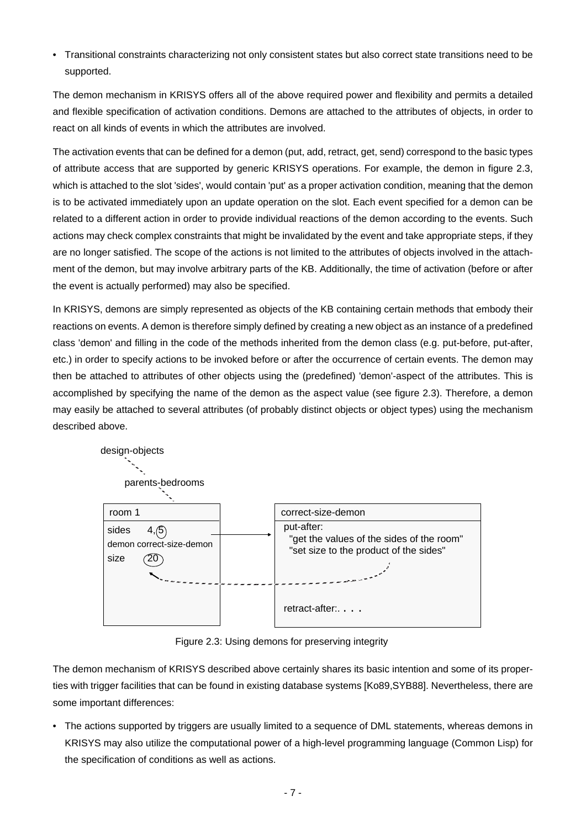• Transitional constraints characterizing not only consistent states but also correct state transitions need to be supported.

The demon mechanism in KRISYS offers all of the above required power and flexibility and permits a detailed and flexible specification of activation conditions. Demons are attached to the attributes of objects, in order to react on all kinds of events in which the attributes are involved.

The activation events that can be defined for a demon (put, add, retract, get, send) correspond to the basic types of attribute access that are supported by generic KRISYS operations. For example, the demon in figure 2.3, which is attached to the slot 'sides', would contain 'put' as a proper activation condition, meaning that the demon is to be activated immediately upon an update operation on the slot. Each event specified for a demon can be related to a different action in order to provide individual reactions of the demon according to the events. Such actions may check complex constraints that might be invalidated by the event and take appropriate steps, if they are no longer satisfied. The scope of the actions is not limited to the attributes of objects involved in the attachment of the demon, but may involve arbitrary parts of the KB. Additionally, the time of activation (before or after the event is actually performed) may also be specified.

In KRISYS, demons are simply represented as objects of the KB containing certain methods that embody their reactions on events. A demon is therefore simply defined by creating a new object as an instance of a predefined class 'demon' and filling in the code of the methods inherited from the demon class (e.g. put-before, put-after, etc.) in order to specify actions to be invoked before or after the occurrence of certain events. The demon may then be attached to attributes of other objects using the (predefined) 'demon'-aspect of the attributes. This is accomplished by specifying the name of the demon as the aspect value (see figure 2.3). Therefore, a demon may easily be attached to several attributes (of probably distinct objects or object types) using the mechanism described above.



Figure 2.3: Using demons for preserving integrity

The demon mechanism of KRISYS described above certainly shares its basic intention and some of its properties with trigger facilities that can be found in existing database systems [Ko89,SYB88]. Nevertheless, there are some important differences:

• The actions supported by triggers are usually limited to a sequence of DML statements, whereas demons in KRISYS may also utilize the computational power of a high-level programming language (Common Lisp) for the specification of conditions as well as actions.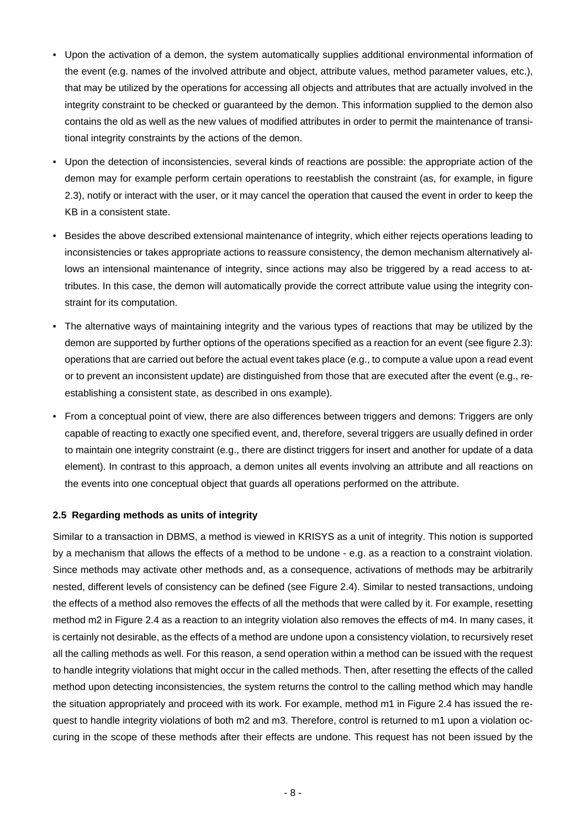- Upon the activation of a demon, the system automatically supplies additional environmental information of the event (e.g. names of the involved attribute and object, attribute values, method parameter values, etc.), that may be utilized by the operations for accessing all objects and attributes that are actually involved in the integrity constraint to be checked or guaranteed by the demon. This information supplied to the demon also contains the old as well as the new values of modified attributes in order to permit the maintenance of transitional integrity constraints by the actions of the demon.
- Upon the detection of inconsistencies, several kinds of reactions are possible: the appropriate action of the demon may for example perform certain operations to reestablish the constraint (as, for example, in figure 2.3), notify or interact with the user, or it may cancel the operation that caused the event in order to keep the KB in a consistent state.
- Besides the above described extensional maintenance of integrity, which either rejects operations leading to inconsistencies or takes appropriate actions to reassure consistency, the demon mechanism alternatively allows an intensional maintenance of integrity, since actions may also be triggered by a read access to attributes. In this case, the demon will automatically provide the correct attribute value using the integrity constraint for its computation.
- The alternative ways of maintaining integrity and the various types of reactions that may be utilized by the demon are supported by further options of the operations specified as a reaction for an event (see figure 2.3): operations that are carried out before the actual event takes place (e.g., to compute a value upon a read event or to prevent an inconsistent update) are distinguished from those that are executed after the event (e.g., reestablishing a consistent state, as described in ons example).
- From a conceptual point of view, there are also differences between triggers and demons: Triggers are only capable of reacting to exactly one specified event, and, therefore, several triggers are usually defined in order to maintain one integrity constraint (e.g., there are distinct triggers for insert and another for update of a data element). In contrast to this approach, a demon unites all events involving an attribute and all reactions on the events into one conceptual object that guards all operations performed on the attribute.

#### **2.5 Regarding methods as units of integrity**

Similar to a transaction in DBMS, a method is viewed in KRISYS as a unit of integrity. This notion is supported by a mechanism that allows the effects of a method to be undone - e.g. as a reaction to a constraint violation. Since methods may activate other methods and, as a consequence, activations of methods may be arbitrarily nested, different levels of consistency can be defined (see Figure 2.4). Similar to nested transactions, undoing the effects of a method also removes the effects of all the methods that were called by it. For example, resetting method m2 in Figure 2.4 as a reaction to an integrity violation also removes the effects of m4. In many cases, it is certainly not desirable, as the effects of a method are undone upon a consistency violation, to recursively reset all the calling methods as well. For this reason, a send operation within a method can be issued with the request to handle integrity violations that might occur in the called methods. Then, after resetting the effects of the called method upon detecting inconsistencies, the system returns the control to the calling method which may handle the situation appropriately and proceed with its work. For example, method m1 in Figure 2.4 has issued the request to handle integrity violations of both m2 and m3. Therefore, control is returned to m1 upon a violation occuring in the scope of these methods after their effects are undone. This request has not been issued by the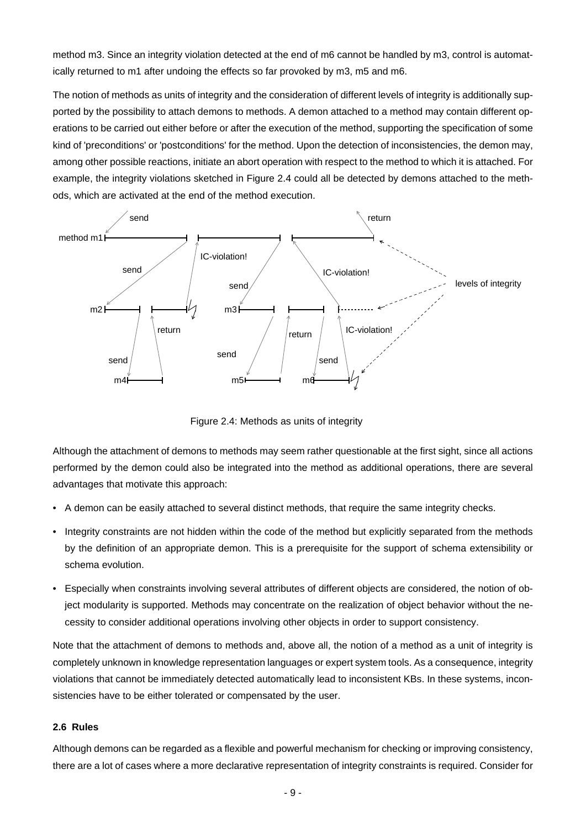method m3. Since an integrity violation detected at the end of m6 cannot be handled by m3, control is automatically returned to m1 after undoing the effects so far provoked by m3, m5 and m6.

The notion of methods as units of integrity and the consideration of different levels of integrity is additionally supported by the possibility to attach demons to methods. A demon attached to a method may contain different operations to be carried out either before or after the execution of the method, supporting the specification of some kind of 'preconditions' or 'postconditions' for the method. Upon the detection of inconsistencies, the demon may, among other possible reactions, initiate an abort operation with respect to the method to which it is attached. For example, the integrity violations sketched in Figure 2.4 could all be detected by demons attached to the methods, which are activated at the end of the method execution.



Figure 2.4: Methods as units of integrity

Although the attachment of demons to methods may seem rather questionable at the first sight, since all actions performed by the demon could also be integrated into the method as additional operations, there are several advantages that motivate this approach:

- A demon can be easily attached to several distinct methods, that require the same integrity checks.
- Integrity constraints are not hidden within the code of the method but explicitly separated from the methods by the definition of an appropriate demon. This is a prerequisite for the support of schema extensibility or schema evolution.
- Especially when constraints involving several attributes of different objects are considered, the notion of object modularity is supported. Methods may concentrate on the realization of object behavior without the necessity to consider additional operations involving other objects in order to support consistency.

Note that the attachment of demons to methods and, above all, the notion of a method as a unit of integrity is completely unknown in knowledge representation languages or expert system tools. As a consequence, integrity violations that cannot be immediately detected automatically lead to inconsistent KBs. In these systems, inconsistencies have to be either tolerated or compensated by the user.

#### **2.6 Rules**

Although demons can be regarded as a flexible and powerful mechanism for checking or improving consistency, there are a lot of cases where a more declarative representation of integrity constraints is required. Consider for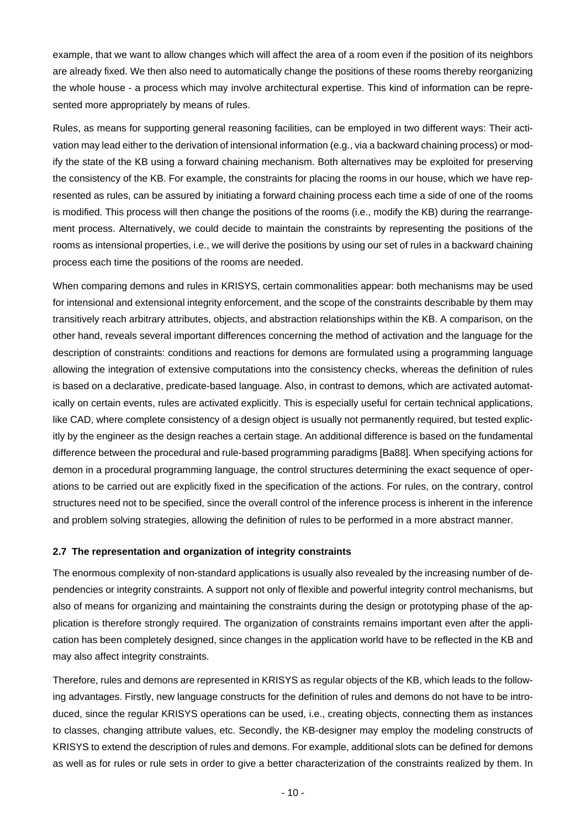example, that we want to allow changes which will affect the area of a room even if the position of its neighbors are already fixed. We then also need to automatically change the positions of these rooms thereby reorganizing the whole house - a process which may involve architectural expertise. This kind of information can be represented more appropriately by means of rules.

Rules, as means for supporting general reasoning facilities, can be employed in two different ways: Their activation may lead either to the derivation of intensional information (e.g., via a backward chaining process) or modify the state of the KB using a forward chaining mechanism. Both alternatives may be exploited for preserving the consistency of the KB. For example, the constraints for placing the rooms in our house, which we have represented as rules, can be assured by initiating a forward chaining process each time a side of one of the rooms is modified. This process will then change the positions of the rooms (i.e., modify the KB) during the rearrangement process. Alternatively, we could decide to maintain the constraints by representing the positions of the rooms as intensional properties, i.e., we will derive the positions by using our set of rules in a backward chaining process each time the positions of the rooms are needed.

When comparing demons and rules in KRISYS, certain commonalities appear: both mechanisms may be used for intensional and extensional integrity enforcement, and the scope of the constraints describable by them may transitively reach arbitrary attributes, objects, and abstraction relationships within the KB. A comparison, on the other hand, reveals several important differences concerning the method of activation and the language for the description of constraints: conditions and reactions for demons are formulated using a programming language allowing the integration of extensive computations into the consistency checks, whereas the definition of rules is based on a declarative, predicate-based language. Also, in contrast to demons, which are activated automatically on certain events, rules are activated explicitly. This is especially useful for certain technical applications, like CAD, where complete consistency of a design object is usually not permanently required, but tested explicitly by the engineer as the design reaches a certain stage. An additional difference is based on the fundamental difference between the procedural and rule-based programming paradigms [Ba88]. When specifying actions for demon in a procedural programming language, the control structures determining the exact sequence of operations to be carried out are explicitly fixed in the specification of the actions. For rules, on the contrary, control structures need not to be specified, since the overall control of the inference process is inherent in the inference and problem solving strategies, allowing the definition of rules to be performed in a more abstract manner.

#### **2.7 The representation and organization of integrity constraints**

The enormous complexity of non-standard applications is usually also revealed by the increasing number of dependencies or integrity constraints. A support not only of flexible and powerful integrity control mechanisms, but also of means for organizing and maintaining the constraints during the design or prototyping phase of the application is therefore strongly required. The organization of constraints remains important even after the application has been completely designed, since changes in the application world have to be reflected in the KB and may also affect integrity constraints.

Therefore, rules and demons are represented in KRISYS as regular objects of the KB, which leads to the following advantages. Firstly, new language constructs for the definition of rules and demons do not have to be introduced, since the regular KRISYS operations can be used, i.e., creating objects, connecting them as instances to classes, changing attribute values, etc. Secondly, the KB-designer may employ the modeling constructs of KRISYS to extend the description of rules and demons. For example, additional slots can be defined for demons as well as for rules or rule sets in order to give a better characterization of the constraints realized by them. In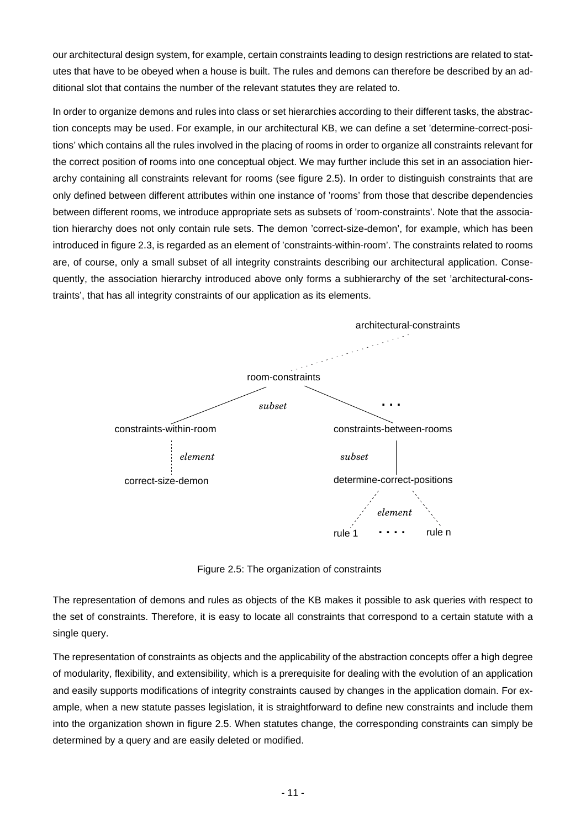our architectural design system, for example, certain constraints leading to design restrictions are related to statutes that have to be obeyed when a house is built. The rules and demons can therefore be described by an additional slot that contains the number of the relevant statutes they are related to.

In order to organize demons and rules into class or set hierarchies according to their different tasks, the abstraction concepts may be used. For example, in our architectural KB, we can define a set 'determine-correct-positions' which contains all the rules involved in the placing of rooms in order to organize all constraints relevant for the correct position of rooms into one conceptual object. We may further include this set in an association hierarchy containing all constraints relevant for rooms (see figure 2.5). In order to distinguish constraints that are only defined between different attributes within one instance of 'rooms' from those that describe dependencies between different rooms, we introduce appropriate sets as subsets of 'room-constraints'. Note that the association hierarchy does not only contain rule sets. The demon 'correct-size-demon', for example, which has been introduced in figure 2.3, is regarded as an element of 'constraints-within-room'. The constraints related to rooms are, of course, only a small subset of all integrity constraints describing our architectural application. Consequently, the association hierarchy introduced above only forms a subhierarchy of the set 'architectural-constraints', that has all integrity constraints of our application as its elements.



Figure 2.5: The organization of constraints

The representation of demons and rules as objects of the KB makes it possible to ask queries with respect to the set of constraints. Therefore, it is easy to locate all constraints that correspond to a certain statute with a single query.

The representation of constraints as objects and the applicability of the abstraction concepts offer a high degree of modularity, flexibility, and extensibility, which is a prerequisite for dealing with the evolution of an application and easily supports modifications of integrity constraints caused by changes in the application domain. For example, when a new statute passes legislation, it is straightforward to define new constraints and include them into the organization shown in figure 2.5. When statutes change, the corresponding constraints can simply be determined by a query and are easily deleted or modified.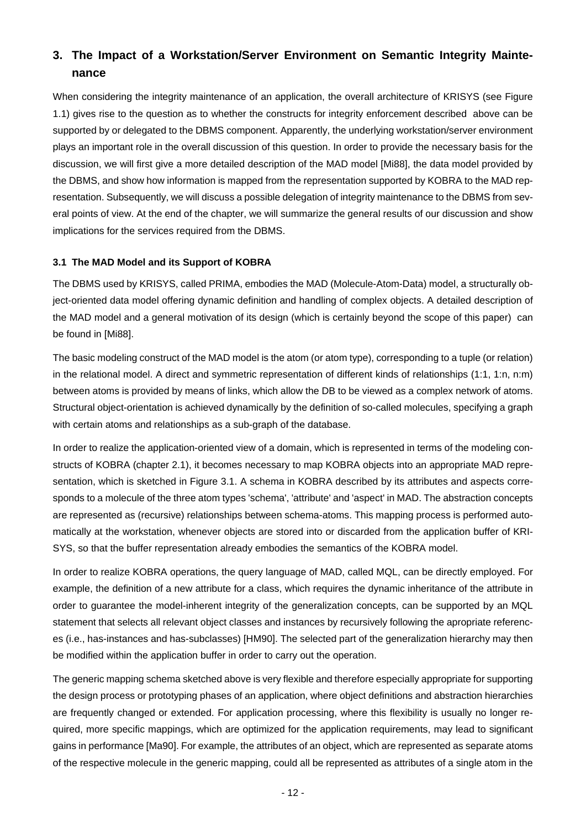# **3. The Impact of a Workstation/Server Environment on Semantic Integrity Maintenance**

When considering the integrity maintenance of an application, the overall architecture of KRISYS (see Figure 1.1) gives rise to the question as to whether the constructs for integrity enforcement described above can be supported by or delegated to the DBMS component. Apparently, the underlying workstation/server environment plays an important role in the overall discussion of this question. In order to provide the necessary basis for the discussion, we will first give a more detailed description of the MAD model [Mi88], the data model provided by the DBMS, and show how information is mapped from the representation supported by KOBRA to the MAD representation. Subsequently, we will discuss a possible delegation of integrity maintenance to the DBMS from several points of view. At the end of the chapter, we will summarize the general results of our discussion and show implications for the services required from the DBMS.

# **3.1 The MAD Model and its Support of KOBRA**

The DBMS used by KRISYS, called PRIMA, embodies the MAD (Molecule-Atom-Data) model, a structurally object-oriented data model offering dynamic definition and handling of complex objects. A detailed description of the MAD model and a general motivation of its design (which is certainly beyond the scope of this paper) can be found in [Mi88].

The basic modeling construct of the MAD model is the atom (or atom type), corresponding to a tuple (or relation) in the relational model. A direct and symmetric representation of different kinds of relationships (1:1, 1:n, n:m) between atoms is provided by means of links, which allow the DB to be viewed as a complex network of atoms. Structural object-orientation is achieved dynamically by the definition of so-called molecules, specifying a graph with certain atoms and relationships as a sub-graph of the database.

In order to realize the application-oriented view of a domain, which is represented in terms of the modeling constructs of KOBRA (chapter 2.1), it becomes necessary to map KOBRA objects into an appropriate MAD representation, which is sketched in Figure 3.1. A schema in KOBRA described by its attributes and aspects corresponds to a molecule of the three atom types 'schema', 'attribute' and 'aspect' in MAD. The abstraction concepts are represented as (recursive) relationships between schema-atoms. This mapping process is performed automatically at the workstation, whenever objects are stored into or discarded from the application buffer of KRI-SYS, so that the buffer representation already embodies the semantics of the KOBRA model.

In order to realize KOBRA operations, the query language of MAD, called MQL, can be directly employed. For example, the definition of a new attribute for a class, which requires the dynamic inheritance of the attribute in order to guarantee the model-inherent integrity of the generalization concepts, can be supported by an MQL statement that selects all relevant object classes and instances by recursively following the apropriate references (i.e., has-instances and has-subclasses) [HM90]. The selected part of the generalization hierarchy may then be modified within the application buffer in order to carry out the operation.

The generic mapping schema sketched above is very flexible and therefore especially appropriate for supporting the design process or prototyping phases of an application, where object definitions and abstraction hierarchies are frequently changed or extended. For application processing, where this flexibility is usually no longer required, more specific mappings, which are optimized for the application requirements, may lead to significant gains in performance [Ma90]. For example, the attributes of an object, which are represented as separate atoms of the respective molecule in the generic mapping, could all be represented as attributes of a single atom in the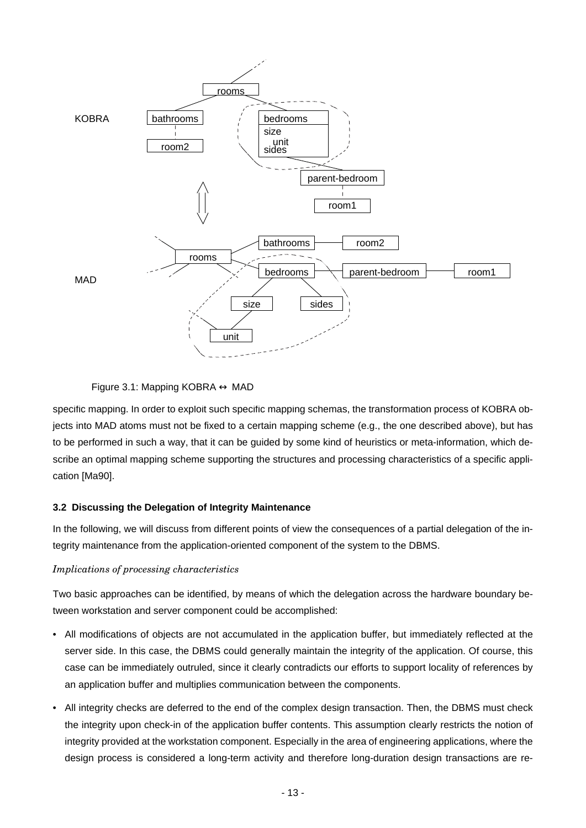

Figure 3.1: Mapping KOBRA ↔ MAD

specific mapping. In order to exploit such specific mapping schemas, the transformation process of KOBRA objects into MAD atoms must not be fixed to a certain mapping scheme (e.g., the one described above), but has to be performed in such a way, that it can be guided by some kind of heuristics or meta-information, which describe an optimal mapping scheme supporting the structures and processing characteristics of a specific application [Ma90].

# **3.2 Discussing the Delegation of Integrity Maintenance**

In the following, we will discuss from different points of view the consequences of a partial delegation of the integrity maintenance from the application-oriented component of the system to the DBMS.

# *Implications of processing characteristics*

Two basic approaches can be identified, by means of which the delegation across the hardware boundary between workstation and server component could be accomplished:

- All modifications of objects are not accumulated in the application buffer, but immediately reflected at the server side. In this case, the DBMS could generally maintain the integrity of the application. Of course, this case can be immediately outruled, since it clearly contradicts our efforts to support locality of references by an application buffer and multiplies communication between the components.
- All integrity checks are deferred to the end of the complex design transaction. Then, the DBMS must check the integrity upon check-in of the application buffer contents. This assumption clearly restricts the notion of integrity provided at the workstation component. Especially in the area of engineering applications, where the design process is considered a long-term activity and therefore long-duration design transactions are re-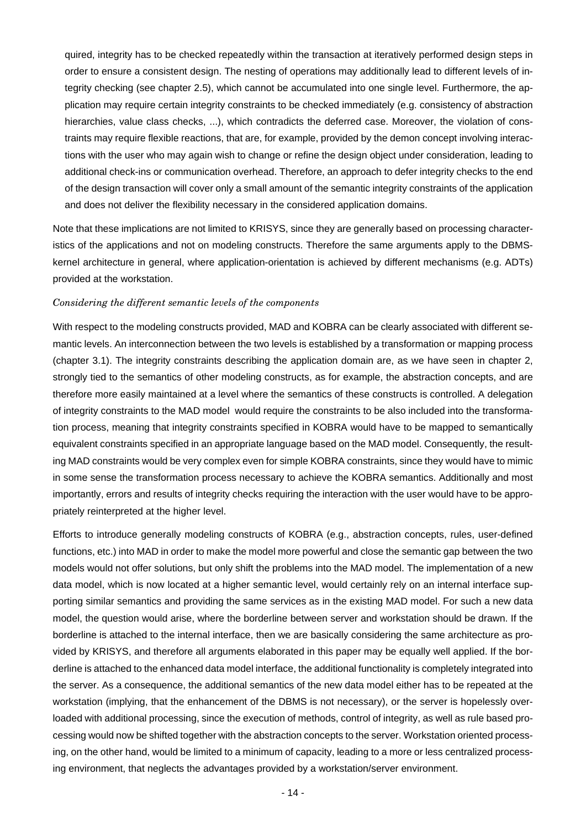quired, integrity has to be checked repeatedly within the transaction at iteratively performed design steps in order to ensure a consistent design. The nesting of operations may additionally lead to different levels of integrity checking (see chapter 2.5), which cannot be accumulated into one single level. Furthermore, the application may require certain integrity constraints to be checked immediately (e.g. consistency of abstraction hierarchies, value class checks, ...), which contradicts the deferred case. Moreover, the violation of constraints may require flexible reactions, that are, for example, provided by the demon concept involving interactions with the user who may again wish to change or refine the design object under consideration, leading to additional check-ins or communication overhead. Therefore, an approach to defer integrity checks to the end of the design transaction will cover only a small amount of the semantic integrity constraints of the application and does not deliver the flexibility necessary in the considered application domains.

Note that these implications are not limited to KRISYS, since they are generally based on processing characteristics of the applications and not on modeling constructs. Therefore the same arguments apply to the DBMSkernel architecture in general, where application-orientation is achieved by different mechanisms (e.g. ADTs) provided at the workstation.

#### *Considering the different semantic levels of the components*

With respect to the modeling constructs provided, MAD and KOBRA can be clearly associated with different semantic levels. An interconnection between the two levels is established by a transformation or mapping process (chapter 3.1). The integrity constraints describing the application domain are, as we have seen in chapter 2, strongly tied to the semantics of other modeling constructs, as for example, the abstraction concepts, and are therefore more easily maintained at a level where the semantics of these constructs is controlled. A delegation of integrity constraints to the MAD model would require the constraints to be also included into the transformation process, meaning that integrity constraints specified in KOBRA would have to be mapped to semantically equivalent constraints specified in an appropriate language based on the MAD model. Consequently, the resulting MAD constraints would be very complex even for simple KOBRA constraints, since they would have to mimic in some sense the transformation process necessary to achieve the KOBRA semantics. Additionally and most importantly, errors and results of integrity checks requiring the interaction with the user would have to be appropriately reinterpreted at the higher level.

Efforts to introduce generally modeling constructs of KOBRA (e.g., abstraction concepts, rules, user-defined functions, etc.) into MAD in order to make the model more powerful and close the semantic gap between the two models would not offer solutions, but only shift the problems into the MAD model. The implementation of a new data model, which is now located at a higher semantic level, would certainly rely on an internal interface supporting similar semantics and providing the same services as in the existing MAD model. For such a new data model, the question would arise, where the borderline between server and workstation should be drawn. If the borderline is attached to the internal interface, then we are basically considering the same architecture as provided by KRISYS, and therefore all arguments elaborated in this paper may be equally well applied. If the borderline is attached to the enhanced data model interface, the additional functionality is completely integrated into the server. As a consequence, the additional semantics of the new data model either has to be repeated at the workstation (implying, that the enhancement of the DBMS is not necessary), or the server is hopelessly overloaded with additional processing, since the execution of methods, control of integrity, as well as rule based processing would now be shifted together with the abstraction concepts to the server. Workstation oriented processing, on the other hand, would be limited to a minimum of capacity, leading to a more or less centralized processing environment, that neglects the advantages provided by a workstation/server environment.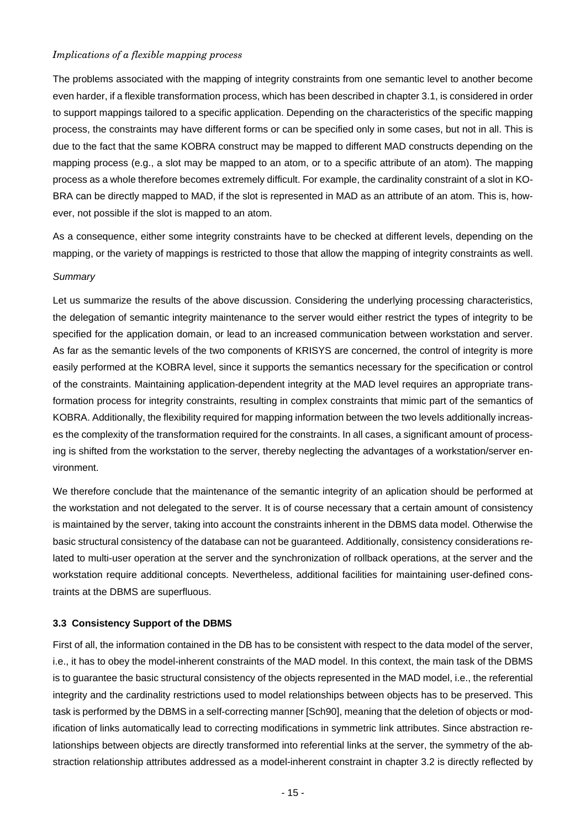#### *Implications of a flexible mapping process*

The problems associated with the mapping of integrity constraints from one semantic level to another become even harder, if a flexible transformation process, which has been described in chapter 3.1, is considered in order to support mappings tailored to a specific application. Depending on the characteristics of the specific mapping process, the constraints may have different forms or can be specified only in some cases, but not in all. This is due to the fact that the same KOBRA construct may be mapped to different MAD constructs depending on the mapping process (e.g., a slot may be mapped to an atom, or to a specific attribute of an atom). The mapping process as a whole therefore becomes extremely difficult. For example, the cardinality constraint of a slot in KO-BRA can be directly mapped to MAD, if the slot is represented in MAD as an attribute of an atom. This is, however, not possible if the slot is mapped to an atom.

As a consequence, either some integrity constraints have to be checked at different levels, depending on the mapping, or the variety of mappings is restricted to those that allow the mapping of integrity constraints as well.

#### Summary

Let us summarize the results of the above discussion. Considering the underlying processing characteristics, the delegation of semantic integrity maintenance to the server would either restrict the types of integrity to be specified for the application domain, or lead to an increased communication between workstation and server. As far as the semantic levels of the two components of KRISYS are concerned, the control of integrity is more easily performed at the KOBRA level, since it supports the semantics necessary for the specification or control of the constraints. Maintaining application-dependent integrity at the MAD level requires an appropriate transformation process for integrity constraints, resulting in complex constraints that mimic part of the semantics of KOBRA. Additionally, the flexibility required for mapping information between the two levels additionally increases the complexity of the transformation required for the constraints. In all cases, a significant amount of processing is shifted from the workstation to the server, thereby neglecting the advantages of a workstation/server environment.

We therefore conclude that the maintenance of the semantic integrity of an aplication should be performed at the workstation and not delegated to the server. It is of course necessary that a certain amount of consistency is maintained by the server, taking into account the constraints inherent in the DBMS data model. Otherwise the basic structural consistency of the database can not be guaranteed. Additionally, consistency considerations related to multi-user operation at the server and the synchronization of rollback operations, at the server and the workstation require additional concepts. Nevertheless, additional facilities for maintaining user-defined constraints at the DBMS are superfluous.

#### **3.3 Consistency Support of the DBMS**

First of all, the information contained in the DB has to be consistent with respect to the data model of the server, i.e., it has to obey the model-inherent constraints of the MAD model. In this context, the main task of the DBMS is to guarantee the basic structural consistency of the objects represented in the MAD model, i.e., the referential integrity and the cardinality restrictions used to model relationships between objects has to be preserved. This task is performed by the DBMS in a self-correcting manner [Sch90], meaning that the deletion of objects or modification of links automatically lead to correcting modifications in symmetric link attributes. Since abstraction relationships between objects are directly transformed into referential links at the server, the symmetry of the abstraction relationship attributes addressed as a model-inherent constraint in chapter 3.2 is directly reflected by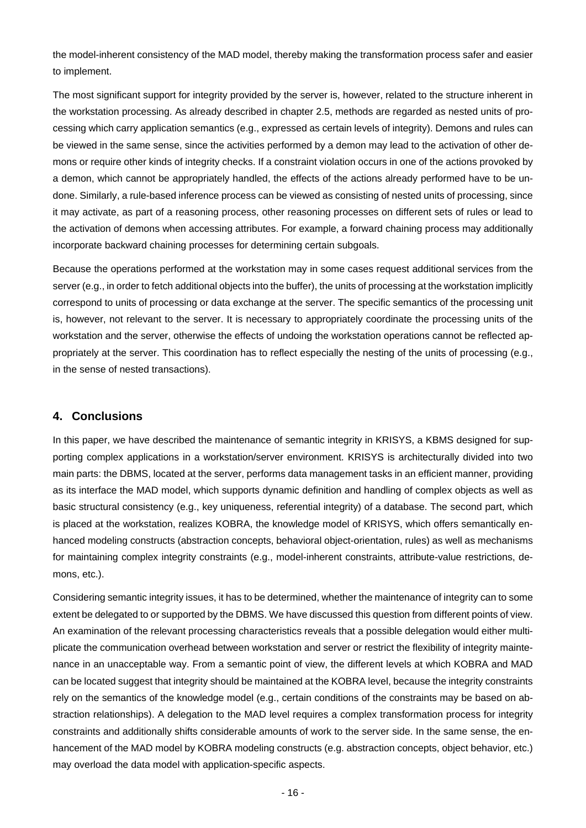the model-inherent consistency of the MAD model, thereby making the transformation process safer and easier to implement.

The most significant support for integrity provided by the server is, however, related to the structure inherent in the workstation processing. As already described in chapter 2.5, methods are regarded as nested units of processing which carry application semantics (e.g., expressed as certain levels of integrity). Demons and rules can be viewed in the same sense, since the activities performed by a demon may lead to the activation of other demons or require other kinds of integrity checks. If a constraint violation occurs in one of the actions provoked by a demon, which cannot be appropriately handled, the effects of the actions already performed have to be undone. Similarly, a rule-based inference process can be viewed as consisting of nested units of processing, since it may activate, as part of a reasoning process, other reasoning processes on different sets of rules or lead to the activation of demons when accessing attributes. For example, a forward chaining process may additionally incorporate backward chaining processes for determining certain subgoals.

Because the operations performed at the workstation may in some cases request additional services from the server (e.g., in order to fetch additional objects into the buffer), the units of processing at the workstation implicitly correspond to units of processing or data exchange at the server. The specific semantics of the processing unit is, however, not relevant to the server. It is necessary to appropriately coordinate the processing units of the workstation and the server, otherwise the effects of undoing the workstation operations cannot be reflected appropriately at the server. This coordination has to reflect especially the nesting of the units of processing (e.g., in the sense of nested transactions).

# **4. Conclusions**

In this paper, we have described the maintenance of semantic integrity in KRISYS, a KBMS designed for supporting complex applications in a workstation/server environment. KRISYS is architecturally divided into two main parts: the DBMS, located at the server, performs data management tasks in an efficient manner, providing as its interface the MAD model, which supports dynamic definition and handling of complex objects as well as basic structural consistency (e.g., key uniqueness, referential integrity) of a database. The second part, which is placed at the workstation, realizes KOBRA, the knowledge model of KRISYS, which offers semantically enhanced modeling constructs (abstraction concepts, behavioral object-orientation, rules) as well as mechanisms for maintaining complex integrity constraints (e.g., model-inherent constraints, attribute-value restrictions, demons, etc.).

Considering semantic integrity issues, it has to be determined, whether the maintenance of integrity can to some extent be delegated to or supported by the DBMS. We have discussed this question from different points of view. An examination of the relevant processing characteristics reveals that a possible delegation would either multiplicate the communication overhead between workstation and server or restrict the flexibility of integrity maintenance in an unacceptable way. From a semantic point of view, the different levels at which KOBRA and MAD can be located suggest that integrity should be maintained at the KOBRA level, because the integrity constraints rely on the semantics of the knowledge model (e.g., certain conditions of the constraints may be based on abstraction relationships). A delegation to the MAD level requires a complex transformation process for integrity constraints and additionally shifts considerable amounts of work to the server side. In the same sense, the enhancement of the MAD model by KOBRA modeling constructs (e.g. abstraction concepts, object behavior, etc.) may overload the data model with application-specific aspects.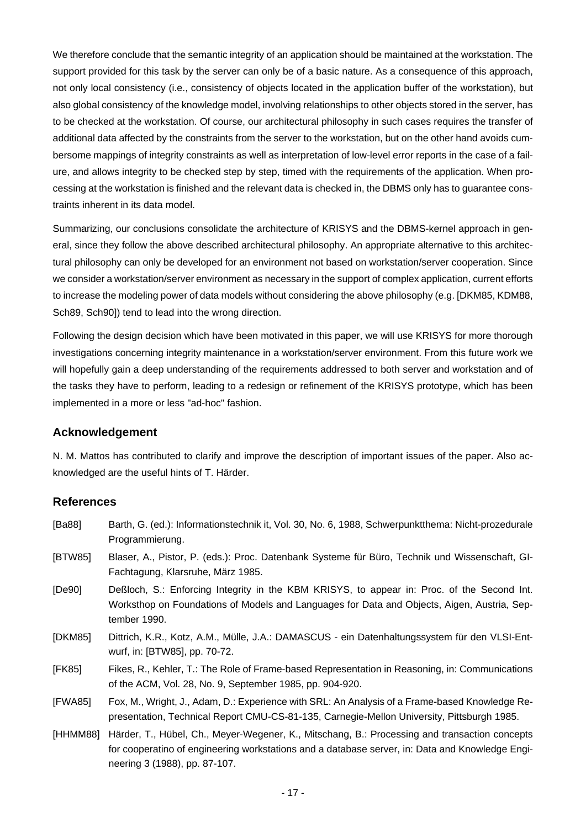We therefore conclude that the semantic integrity of an application should be maintained at the workstation. The support provided for this task by the server can only be of a basic nature. As a consequence of this approach, not only local consistency (i.e., consistency of objects located in the application buffer of the workstation), but also global consistency of the knowledge model, involving relationships to other objects stored in the server, has to be checked at the workstation. Of course, our architectural philosophy in such cases requires the transfer of additional data affected by the constraints from the server to the workstation, but on the other hand avoids cumbersome mappings of integrity constraints as well as interpretation of low-level error reports in the case of a failure, and allows integrity to be checked step by step, timed with the requirements of the application. When processing at the workstation is finished and the relevant data is checked in, the DBMS only has to guarantee constraints inherent in its data model.

Summarizing, our conclusions consolidate the architecture of KRISYS and the DBMS-kernel approach in general, since they follow the above described architectural philosophy. An appropriate alternative to this architectural philosophy can only be developed for an environment not based on workstation/server cooperation. Since we consider a workstation/server environment as necessary in the support of complex application, current efforts to increase the modeling power of data models without considering the above philosophy (e.g. [DKM85, KDM88, Sch89, Sch90]) tend to lead into the wrong direction.

Following the design decision which have been motivated in this paper, we will use KRISYS for more thorough investigations concerning integrity maintenance in a workstation/server environment. From this future work we will hopefully gain a deep understanding of the requirements addressed to both server and workstation and of the tasks they have to perform, leading to a redesign or refinement of the KRISYS prototype, which has been implemented in a more or less "ad-hoc" fashion.

# **Acknowledgement**

N. M. Mattos has contributed to clarify and improve the description of important issues of the paper. Also acknowledged are the useful hints of T. Härder.

# **References**

- [Ba88] Barth, G. (ed.): Informationstechnik it, Vol. 30, No. 6, 1988, Schwerpunktthema: Nicht-prozedurale Programmierung.
- [BTW85] Blaser, A., Pistor, P. (eds.): Proc. Datenbank Systeme für Büro, Technik und Wissenschaft, GI-Fachtagung, Klarsruhe, März 1985.
- [De90] Deßloch, S.: Enforcing Integrity in the KBM KRISYS, to appear in: Proc. of the Second Int. Worksthop on Foundations of Models and Languages for Data and Objects, Aigen, Austria, September 1990.
- [DKM85] Dittrich, K.R., Kotz, A.M., Mülle, J.A.: DAMASCUS ein Datenhaltungssystem für den VLSI-Entwurf, in: [BTW85], pp. 70-72.
- [FK85] Fikes, R., Kehler, T.: The Role of Frame-based Representation in Reasoning, in: Communications of the ACM, Vol. 28, No. 9, September 1985, pp. 904-920.
- [FWA85] Fox, M., Wright, J., Adam, D.: Experience with SRL: An Analysis of a Frame-based Knowledge Representation, Technical Report CMU-CS-81-135, Carnegie-Mellon University, Pittsburgh 1985.
- [HHMM88] Härder, T., Hübel, Ch., Meyer-Wegener, K., Mitschang, B.: Processing and transaction concepts for cooperatino of engineering workstations and a database server, in: Data and Knowledge Engineering 3 (1988), pp. 87-107.